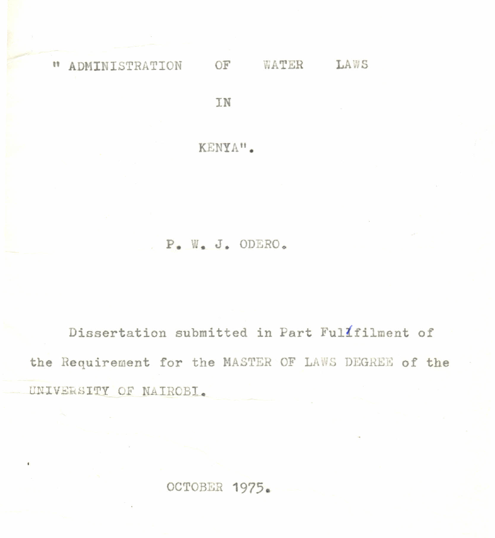OF WATER LAWS " ADMINISTRATION

TN

KENYA".

## P. W. J. ODERO.

Dissertation submitted in Part Fulifilment of the Requirement for the MASTER OF LAWS DEGREE of the UNIVERSITY OF NAIROBI.

OCTOBER 1975.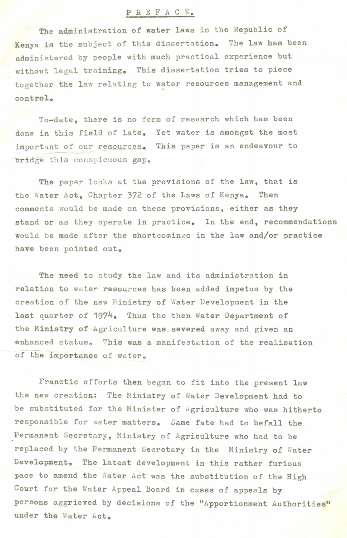## PRE F ACE.

The administration of water laws in the Republic of Kenya is the subject of this dissertation. The law has been administered by people with much practical experience but without legal training. This dissertation tries to piece together the law relating to water resources management and control.

To-date, there is no form of research which has been done in this field of late. Yet water is amongst the most important of our resources. This paper is an endeavour to bridge this conspicuous gap.

The paper looks at the provisions of the law, that is the Water Act, Chapter 372 of the Laws of Kenya. Then comments would be made on these provisions, either as they stand or as they operate in practice. In the end, recommendations would be made after the shortcomings in the law and/or practice have been pointed out.

The need to study the law and its administration in relation to water resources has been added impetus by the creation of the new Ministry of Water Development in the last quarter of 1974. Thus the then Water Department of the Ministry of Agriculture was severed away and given an enhanced status. This was a manifestation of the realisation of the importance of water.

Franctic efforts then began to fit into the present law the new creation: The Ministry of Water Development had to be substituted for the Minister of Agriculture who was hitherto responsible for water matters. Same fate had to befall the ,Permanent Secretary, Ministry of Agriculture who had to be replaced by the Permanent Secretary in the Ministry of Water Development. The latest development in this rather furious pace to amend the Water Act was the substitution of the High Court for the Water Appeal Board in cases of appeals by persons aggrieved by decisions of the "Apportionment Authorities" under the Water Act.